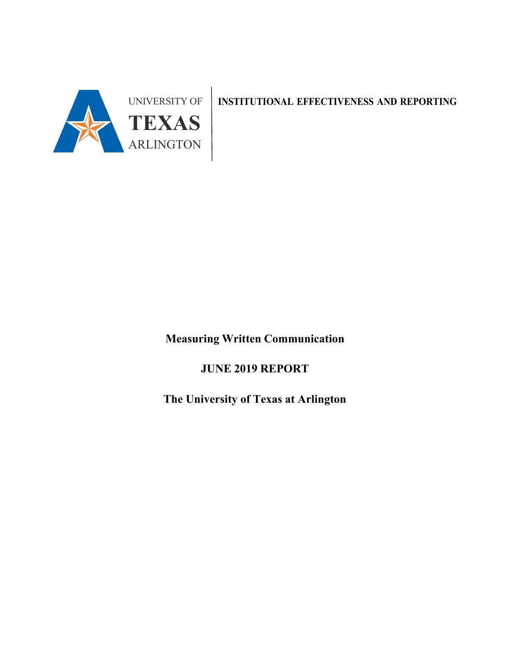

**INSTITUTIONAL EFFECTIVENESS AND REPORTING**

**Measuring Written Communication**

**JUNE 2019 REPORT**

**The University of Texas at Arlington**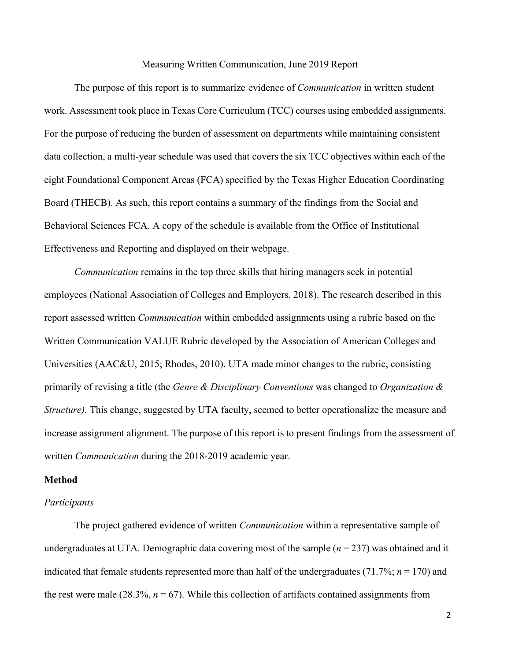#### Measuring Written Communication, June 2019 Report

The purpose of this report is to summarize evidence of *Communication* in written student work. Assessment took place in Texas Core Curriculum (TCC) courses using embedded assignments. For the purpose of reducing the burden of assessment on departments while maintaining consistent data collection, a multi-year schedule was used that covers the six TCC objectives within each of the eight Foundational Component Areas (FCA) specified by the Texas Higher Education Coordinating Board (THECB). As such, this report contains a summary of the findings from the Social and Behavioral Sciences FCA. A copy of the schedule is available from the Office of Institutional Effectiveness and Reporting and displayed on their webpage.

*Communication* remains in the top three skills that hiring managers seek in potential employees (National Association of Colleges and Employers, 2018). The research described in this report assessed written *Communication* within embedded assignments using a rubric based on the Written Communication VALUE Rubric developed by the Association of American Colleges and Universities (AAC&U, 2015; Rhodes, 2010). UTA made minor changes to the rubric, consisting primarily of revising a title (the *Genre & Disciplinary Conventions* was changed to *Organization & Structure*). This change, suggested by UTA faculty, seemed to better operationalize the measure and increase assignment alignment. The purpose of this report is to present findings from the assessment of written *Communication* during the 2018-2019 academic year.

# **Method**

#### *Participants*

The project gathered evidence of written *Communication* within a representative sample of undergraduates at UTA. Demographic data covering most of the sample (*n* = 237) was obtained and it indicated that female students represented more than half of the undergraduates (71.7%; *n* = 170) and the rest were male  $(28.3\%, n = 67)$ . While this collection of artifacts contained assignments from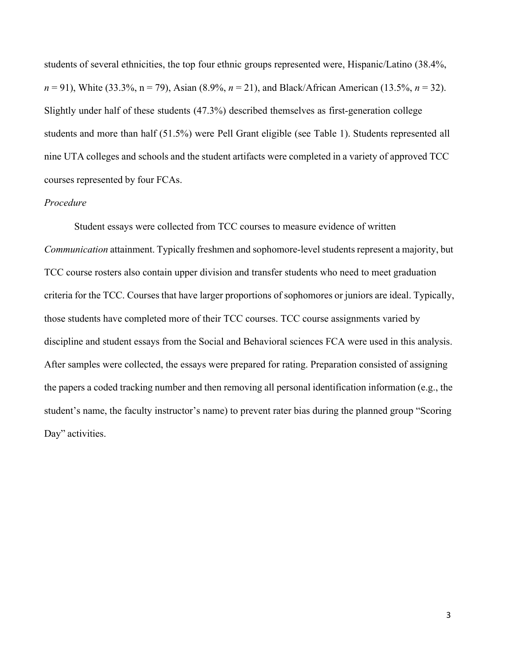students of several ethnicities, the top four ethnic groups represented were, Hispanic/Latino (38.4%, *n* = 91), White (33.3%, n = 79), Asian (8.9%, *n* = 21), and Black/African American (13.5%, *n* = 32). Slightly under half of these students (47.3%) described themselves as first-generation college students and more than half (51.5%) were Pell Grant eligible (see Table 1). Students represented all nine UTA colleges and schools and the student artifacts were completed in a variety of approved TCC courses represented by four FCAs.

# *Procedure*

Student essays were collected from TCC courses to measure evidence of written *Communication* attainment. Typically freshmen and sophomore-level students represent a majority, but TCC course rosters also contain upper division and transfer students who need to meet graduation criteria for the TCC. Courses that have larger proportions of sophomores or juniors are ideal. Typically, those students have completed more of their TCC courses. TCC course assignments varied by discipline and student essays from the Social and Behavioral sciences FCA were used in this analysis. After samples were collected, the essays were prepared for rating. Preparation consisted of assigning the papers a coded tracking number and then removing all personal identification information (e.g., the student's name, the faculty instructor's name) to prevent rater bias during the planned group "Scoring Day" activities.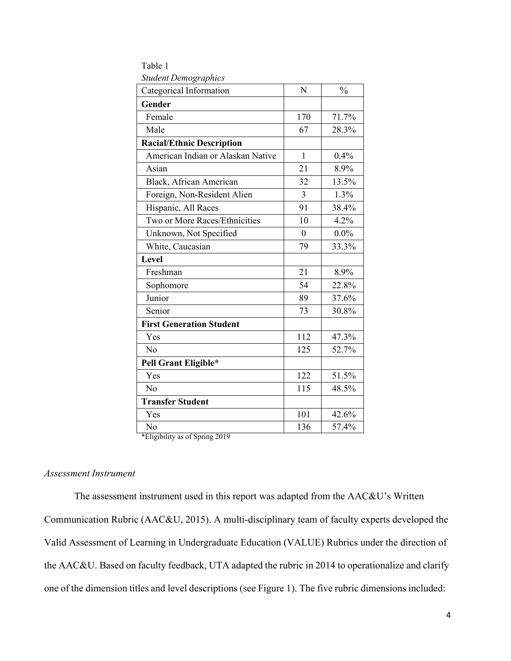| suueni Demogrupnics               |                |               |
|-----------------------------------|----------------|---------------|
| Categorical Information           | N              | $\frac{0}{0}$ |
| Gender                            |                |               |
| Female                            | 170            | 71.7%         |
| Male                              | 67             | 28.3%         |
| <b>Racial/Ethnic Description</b>  |                |               |
| American Indian or Alaskan Native | $\mathbf{1}$   | 0.4%          |
| Asian                             | 21             | 8.9%          |
| Black, African American           | 32             | 13.5%         |
| Foreign, Non-Resident Alien       | 3              | 1.3%          |
| Hispanic, All Races               | 91             | 38.4%         |
| Two or More Races/Ethnicities     | 10             | 4.2%          |
| Unknown, Not Specified            | $\overline{0}$ | $0.0\%$       |
| White, Caucasian                  | 79             | 33.3%         |
| Level                             |                |               |
| Freshman                          | 21             | 8.9%          |
| Sophomore                         | 54             | 22.8%         |
| Junior                            | 89             | 37.6%         |
| Senior                            | 73             | 30.8%         |
| <b>First Generation Student</b>   |                |               |
| Yes                               | 112            | 47.3%         |
| N <sub>o</sub>                    | 125            | 52.7%         |
| Pell Grant Eligible*              |                |               |
| Yes                               | 122            | 51.5%         |
| N <sub>o</sub>                    | 115            | 48.5%         |
| <b>Transfer Student</b>           |                |               |
| Yes                               | 101            | 42.6%         |
| No                                | 136            | 57.4%         |
|                                   |                |               |

Table 1 *Student Demographics*

\*Eligibility as of Spring 2019

# *Assessment Instrument*

The assessment instrument used in this report was adapted from the AAC&U's Written Communication Rubric (AAC&U, 2015). A multi-disciplinary team of faculty experts developed the Valid Assessment of Learning in Undergraduate Education (VALUE) Rubrics under the direction of the AAC&U. Based on faculty feedback, UTA adapted the rubric in 2014 to operationalize and clarify one of the dimension titles and level descriptions (see Figure 1). The five rubric dimensions included: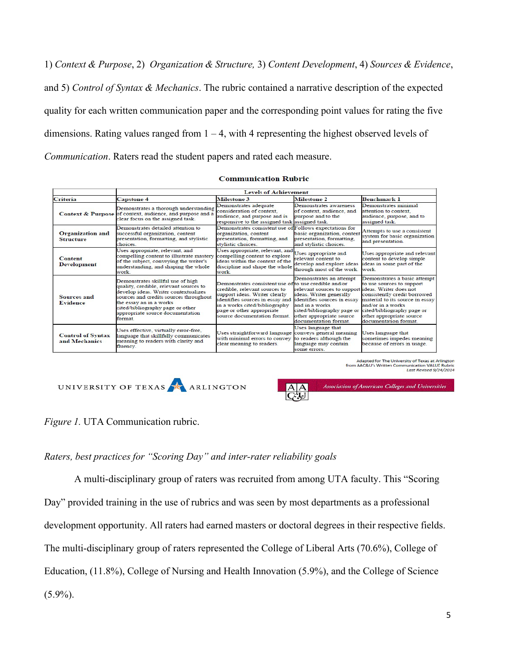1) *Context & Purpose*, 2) *Organization & Structure,* 3) *Content Development*, 4) *Sources & Evidence*, and 5) *Control of Syntax & Mechanics*. The rubric contained a narrative description of the expected quality for each written communication paper and the corresponding point values for rating the five dimensions. Rating values ranged from  $1 - 4$ , with 4 representing the highest observed levels of *Communication*. Raters read the student papers and rated each measure.

#### **Communication Rubric**

|                                             | <b>Levels of Achievement</b>                                                                                                                                                                                                                                                |                                                                                                                                                                                                                                                         |                                                                                                                                                                                                                                             |                                                                                                                                                                                                                                      |  |  |  |  |  |
|---------------------------------------------|-----------------------------------------------------------------------------------------------------------------------------------------------------------------------------------------------------------------------------------------------------------------------------|---------------------------------------------------------------------------------------------------------------------------------------------------------------------------------------------------------------------------------------------------------|---------------------------------------------------------------------------------------------------------------------------------------------------------------------------------------------------------------------------------------------|--------------------------------------------------------------------------------------------------------------------------------------------------------------------------------------------------------------------------------------|--|--|--|--|--|
| Criteria                                    | Milestone 3<br><b>Capstone 4</b>                                                                                                                                                                                                                                            |                                                                                                                                                                                                                                                         | Milestone 2                                                                                                                                                                                                                                 | <b>Benchmark 1</b>                                                                                                                                                                                                                   |  |  |  |  |  |
|                                             | Demonstrates adequate<br>Demonstrates a thorough understanding<br>consideration of context.<br>Context & Purpose of context, audience, and purpose and a<br>audience, and purpose and is<br>clear focus on the assigned task.                                               |                                                                                                                                                                                                                                                         | Demonstrates awareness<br>of context, audience, and<br>purpose and to the<br>responsive to the assigned task assigned task.                                                                                                                 | Demonstrates minimal<br>attention to context.<br>audience, purpose, and to<br>assigned task.                                                                                                                                         |  |  |  |  |  |
| <b>Organization and</b><br><b>Structure</b> | Demonstrates detailed attention to<br>successful organization, content<br>presentation, formatting, and stylistic<br><i>choices</i>                                                                                                                                         | Demonstrates consistent use of Follows expectations for<br>basic organization, content<br>organization, content<br>presentation, formatting,<br>presentation, formatting, and<br>and stylistic choices.<br>stylistic choices.                           |                                                                                                                                                                                                                                             | Attempts to use a consistent<br>system for basic organization<br>and presentation.                                                                                                                                                   |  |  |  |  |  |
| <b>Content</b><br><b>Development</b>        | Uses appropriate, relevant, and<br>compelling content to illustrate mastery<br>of the subject, conveying the writer's<br>understanding, and shaping the whole<br>work.                                                                                                      | Uses appropriate, relevant, and<br>compelling content to explore<br>ideas within the context of the<br>discipline and shape the whole<br>work.                                                                                                          | Uses appropriate and<br>relevant content to<br>develop and explore ideas<br>through most of the work.                                                                                                                                       | Uses appropriate and relevant<br>content to develop simple<br>ideas in some part of the<br>work                                                                                                                                      |  |  |  |  |  |
| Sources and<br><b>Evidence</b>              | Demonstrates skillful use of high<br>quality, credible, relevant sources to<br>develop ideas. Writer contextualizes<br>sources and credits sources throughout<br>the essay an in a works<br>cited/bibliography page or other<br>appropriate source documentation<br>format. | Demonstrates consistent use of to use credible and/or<br>credible, relevant sources to<br>support ideas. Writer clearly<br>identifies sources in essay and<br>in a works cited/bibliography<br>page or other appropriate<br>source documentation format | Demonstrates an attempt<br>relevant sources to support ideas. Writer does not<br>ideas. Writer generally<br>identifies sources in essay<br>and in a works<br>cited/bibliography page or<br>other appropriate source<br>documentation format | Demonstrates a basic attempt<br>to use sources to support<br>consistently credit borrowed<br>material to its source in essay<br>and/or in a works<br>cited/bibliography page or<br>other appropriate source<br>documentation format. |  |  |  |  |  |
| <b>Control of Syntax</b><br>and Mechanics   | Uses effective, virtually error-free,<br>language that skillfully communicates<br>meaning to readers with clarity and<br>fluency.                                                                                                                                           | Uses straightforward language<br>with minimal errors to convey<br>clear meaning to readers.                                                                                                                                                             | Uses language that<br>conveys general meaning<br>to readers although the<br>language may contain<br>some errors.                                                                                                                            | Uses language that<br>sometimes impedes meaning<br>because of errors in usage.                                                                                                                                                       |  |  |  |  |  |

Adapted for The University of Texas at Arlington<br>from AAC&U's Written Communication VALUE Rubric<br>Last Revised 9/24/2014

UNIVERSITY OF TEXAS ARLINGTON



*Figure 1.* UTA Communication rubric.

# *Raters, best practices for "Scoring Day" and inter-rater reliability goals*

A multi-disciplinary group of raters was recruited from among UTA faculty. This "Scoring Day" provided training in the use of rubrics and was seen by most departments as a professional development opportunity. All raters had earned masters or doctoral degrees in their respective fields. The multi-disciplinary group of raters represented the College of Liberal Arts (70.6%), College of Education, (11.8%), College of Nursing and Health Innovation (5.9%), and the College of Science  $(5.9\%)$ .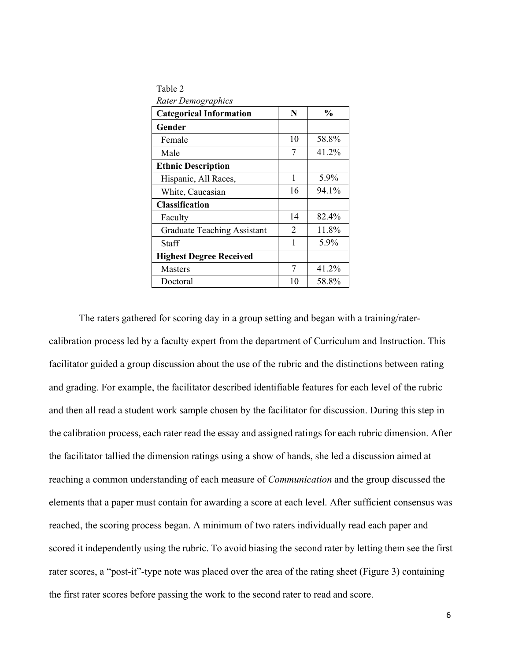| Table 2                            |                             |               |
|------------------------------------|-----------------------------|---------------|
| <b>Rater Demographics</b>          |                             |               |
| <b>Categorical Information</b>     | N                           | $\frac{0}{0}$ |
| Gender                             |                             |               |
| Female                             | 10                          | 58.8%         |
| Male                               | 7                           | 41.2%         |
| <b>Ethnic Description</b>          |                             |               |
| Hispanic, All Races,               | 1                           | 5.9%          |
| White, Caucasian                   | 16                          | 94.1%         |
| <b>Classification</b>              |                             |               |
| Faculty                            | 14                          | 82.4%         |
| <b>Graduate Teaching Assistant</b> | $\mathcal{D}_{\mathcal{L}}$ | 11.8%         |
| Staff                              | 1                           | 5.9%          |
| <b>Highest Degree Received</b>     |                             |               |
| <b>Masters</b>                     | 7                           | 41.2%         |
| Doctoral                           | 10                          | 58.8%         |

The raters gathered for scoring day in a group setting and began with a training/ratercalibration process led by a faculty expert from the department of Curriculum and Instruction. This facilitator guided a group discussion about the use of the rubric and the distinctions between rating and grading. For example, the facilitator described identifiable features for each level of the rubric and then all read a student work sample chosen by the facilitator for discussion. During this step in the calibration process, each rater read the essay and assigned ratings for each rubric dimension. After the facilitator tallied the dimension ratings using a show of hands, she led a discussion aimed at reaching a common understanding of each measure of *Communication* and the group discussed the elements that a paper must contain for awarding a score at each level. After sufficient consensus was reached, the scoring process began. A minimum of two raters individually read each paper and scored it independently using the rubric. To avoid biasing the second rater by letting them see the first rater scores, a "post-it"-type note was placed over the area of the rating sheet (Figure 3) containing the first rater scores before passing the work to the second rater to read and score.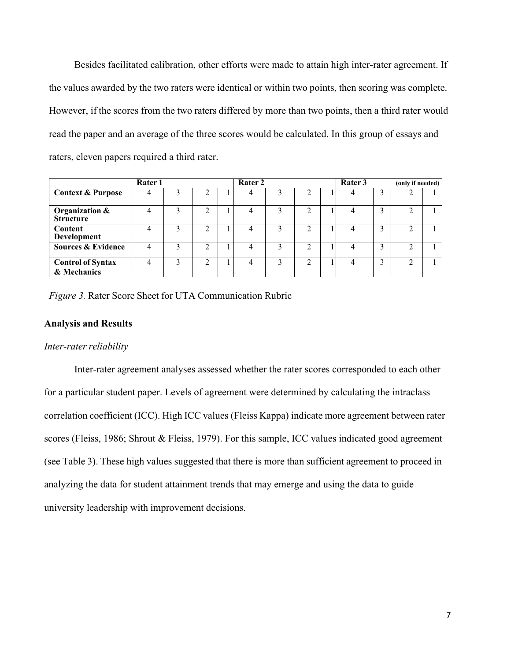Besides facilitated calibration, other efforts were made to attain high inter-rater agreement. If the values awarded by the two raters were identical or within two points, then scoring was complete. However, if the scores from the two raters differed by more than two points, then a third rater would read the paper and an average of the three scores would be calculated. In this group of essays and raters, eleven papers required a third rater.

|                                         | <b>Rater 1</b> |   | Rater 2 |  |   |  |   | Rater 3 |   |   | (only if needed) |  |
|-----------------------------------------|----------------|---|---------|--|---|--|---|---------|---|---|------------------|--|
| <b>Context &amp; Purpose</b>            |                |   | ◠       |  | 4 |  |   |         |   |   |                  |  |
| Organization &<br><b>Structure</b>      |                | 3 | ◠       |  | 4 |  | ◠ |         |   |   |                  |  |
| Content<br>Development                  |                | ◠ | ◠       |  | 4 |  |   |         | Δ | ◠ |                  |  |
| <b>Sources &amp; Evidence</b>           |                | 3 | ↑       |  | 4 |  | ◠ |         |   | ◠ |                  |  |
| <b>Control of Syntax</b><br>& Mechanics |                | ∍ | ◠       |  | 4 |  | ◠ |         | 4 |   |                  |  |

*Figure 3.* Rater Score Sheet for UTA Communication Rubric

## **Analysis and Results**

#### *Inter-rater reliability*

Inter-rater agreement analyses assessed whether the rater scores corresponded to each other for a particular student paper. Levels of agreement were determined by calculating the intraclass correlation coefficient (ICC). High ICC values (Fleiss Kappa) indicate more agreement between rater scores (Fleiss, 1986; Shrout & Fleiss, 1979). For this sample, ICC values indicated good agreement (see Table 3). These high values suggested that there is more than sufficient agreement to proceed in analyzing the data for student attainment trends that may emerge and using the data to guide university leadership with improvement decisions.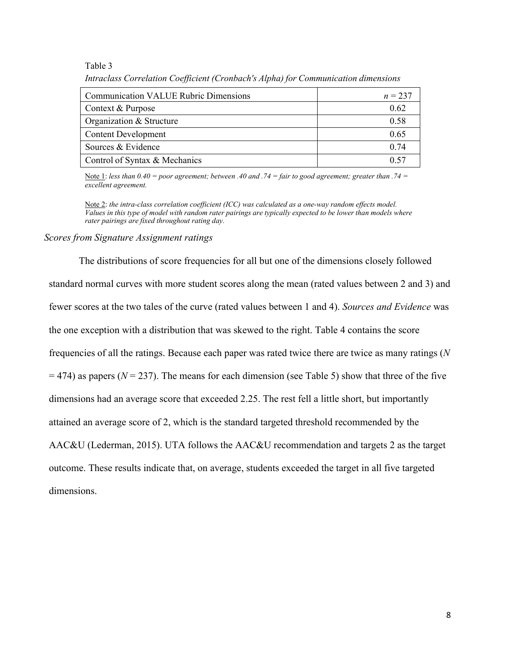#### Table 3

| <b>Communication VALUE Rubric Dimensions</b> | $n = 237$ |
|----------------------------------------------|-----------|
| Context & Purpose                            | 0.62      |
| Organization & Structure                     | 0.58      |
| <b>Content Development</b>                   | 0.65      |
| Sources & Evidence                           | 0.74      |
| Control of Syntax & Mechanics                | 0.57      |

*Intraclass Correlation Coefficient (Cronbach's Alpha) for Communication dimensions*

Note 1: *less than 0.40 = poor agreement; between .40 and .74 = fair to good agreement; greater than .74 = excellent agreement.* 

Note 2: *the intra-class correlation coefficient (ICC) was calculated as a one-way random effects model. Values in this type of model with random rater pairings are typically expected to be lower than models where rater pairings are fixed throughout rating day.*

#### *Scores from Signature Assignment ratings*

The distributions of score frequencies for all but one of the dimensions closely followed standard normal curves with more student scores along the mean (rated values between 2 and 3) and fewer scores at the two tales of the curve (rated values between 1 and 4). *Sources and Evidence* was the one exception with a distribution that was skewed to the right. Table 4 contains the score frequencies of all the ratings. Because each paper was rated twice there are twice as many ratings (*N*   $=$  474) as papers ( $N = 237$ ). The means for each dimension (see Table 5) show that three of the five dimensions had an average score that exceeded 2.25. The rest fell a little short, but importantly attained an average score of 2, which is the standard targeted threshold recommended by the AAC&U (Lederman, 2015). UTA follows the AAC&U recommendation and targets 2 as the target outcome. These results indicate that, on average, students exceeded the target in all five targeted dimensions.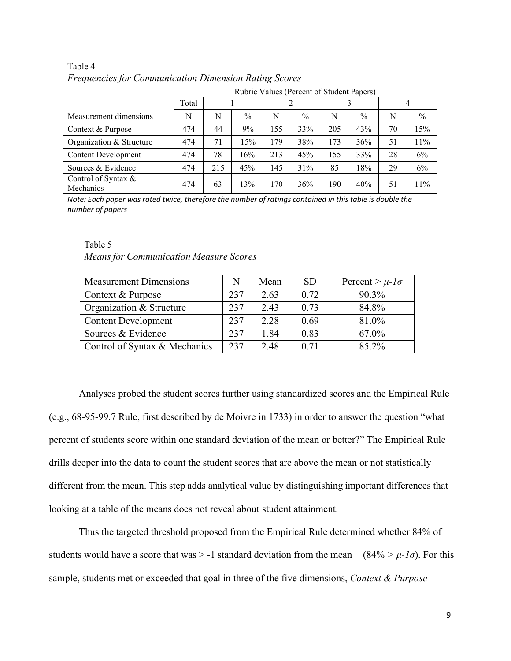# Table 4 *Frequencies for Communication Dimension Rating Scores*

| Rubric Values (Percent of Student Papers) |       |     |               |     |               |     |               |    |      |  |
|-------------------------------------------|-------|-----|---------------|-----|---------------|-----|---------------|----|------|--|
|                                           | Total |     |               |     |               |     |               | 4  |      |  |
| Measurement dimensions                    | N     | N   | $\frac{0}{0}$ | N   | $\frac{0}{0}$ | N   | $\frac{0}{0}$ | N  | $\%$ |  |
| Context & Purpose                         | 474   | 44  | 9%            | 155 | 33%           | 205 | 43%           | 70 | 15%  |  |
| Organization & Structure                  | 474   | 71  | 15%           | 179 | 38%           | 173 | 36%           | 51 | 11%  |  |
| <b>Content Development</b>                | 474   | 78  | 16%           | 213 | 45%           | 155 | 33%           | 28 | 6%   |  |
| Sources & Evidence                        | 474   | 215 | 45%           | 145 | 31%           | 85  | 18%           | 29 | 6%   |  |
| Control of Syntax &<br>Mechanics          | 474   | 63  | 13%           | 170 | 36%           | 190 | 40%           | 51 | 11%  |  |

Note: Each paper was rated twice, therefore the number of ratings contained in this table is double the *number of papers*

# Table 5 *Means for Communication Measure Scores*

| <b>Measurement Dimensions</b> | N   | Mean | <b>SD</b> | Percent > $\mu$ - $l\sigma$ |
|-------------------------------|-----|------|-----------|-----------------------------|
| Context & Purpose             | 237 | 2.63 | 0.72      | 90.3%                       |
| Organization & Structure      | 237 | 2.43 | 0.73      | 84.8%                       |
| <b>Content Development</b>    | 237 | 2.28 | 0.69      | 81.0%                       |
| Sources & Evidence            | 237 | 1.84 | 0.83      | 67.0%                       |
| Control of Syntax & Mechanics | 237 | 2.48 | 0.71      | 85.2%                       |

Analyses probed the student scores further using standardized scores and the Empirical Rule (e.g., 68-95-99.7 Rule, first described by de Moivre in 1733) in order to answer the question "what percent of students score within one standard deviation of the mean or better?" The Empirical Rule drills deeper into the data to count the student scores that are above the mean or not statistically different from the mean. This step adds analytical value by distinguishing important differences that looking at a table of the means does not reveal about student attainment.

Thus the targeted threshold proposed from the Empirical Rule determined whether 84% of students would have a score that was  $> -1$  standard deviation from the mean (84%  $> \mu$ -*1σ*). For this sample, students met or exceeded that goal in three of the five dimensions, *Context & Purpose*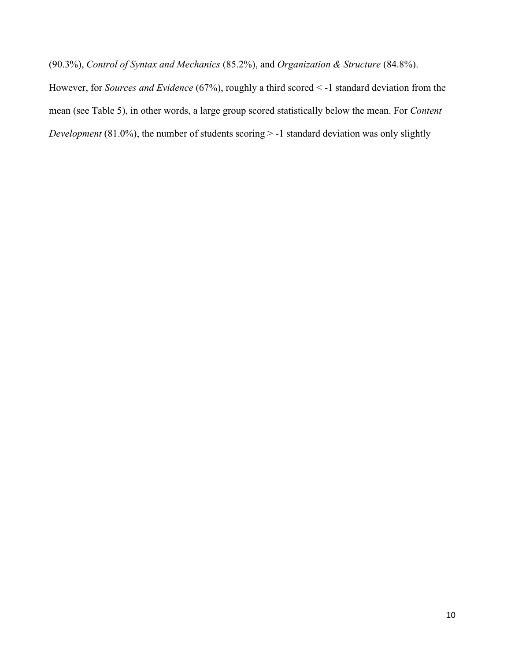(90.3%), *Control of Syntax and Mechanics* (85.2%), and *Organization & Structure* (84.8%).

However, for *Sources and Evidence* (67%), roughly a third scored < -1 standard deviation from the mean (see Table 5), in other words, a large group scored statistically below the mean. For *Content Development* (81.0%), the number of students scoring > -1 standard deviation was only slightly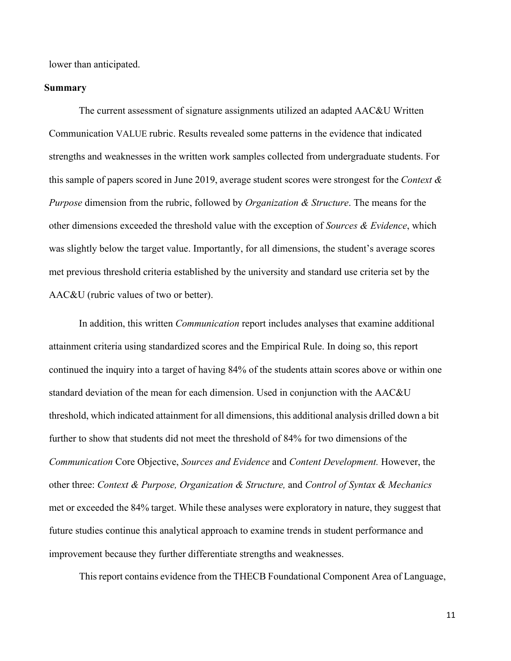lower than anticipated.

## **Summary**

The current assessment of signature assignments utilized an adapted AAC&U Written Communication VALUE rubric. Results revealed some patterns in the evidence that indicated strengths and weaknesses in the written work samples collected from undergraduate students. For this sample of papers scored in June 2019, average student scores were strongest for the *Context & Purpose* dimension from the rubric, followed by *Organization & Structure*. The means for the other dimensions exceeded the threshold value with the exception of *Sources & Evidence*, which was slightly below the target value. Importantly, for all dimensions, the student's average scores met previous threshold criteria established by the university and standard use criteria set by the AAC&U (rubric values of two or better).

In addition, this written *Communication* report includes analyses that examine additional attainment criteria using standardized scores and the Empirical Rule. In doing so, this report continued the inquiry into a target of having 84% of the students attain scores above or within one standard deviation of the mean for each dimension. Used in conjunction with the AAC&U threshold, which indicated attainment for all dimensions, this additional analysis drilled down a bit further to show that students did not meet the threshold of 84% for two dimensions of the *Communication* Core Objective, *Sources and Evidence* and *Content Development.* However, the other three: *Context & Purpose, Organization & Structure,* and *Control of Syntax & Mechanics* met or exceeded the 84% target. While these analyses were exploratory in nature, they suggest that future studies continue this analytical approach to examine trends in student performance and improvement because they further differentiate strengths and weaknesses.

This report contains evidence from the THECB Foundational Component Area of Language,

11